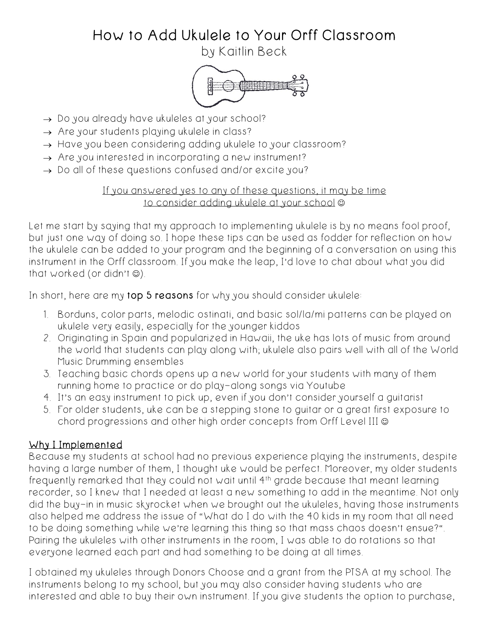# How to Add Ukulele to Your Orff Classroom

by Kaitlin Beck



- $\rightarrow$  Do you already have ukuleles at your school?
- $\rightarrow$  Are your students playing ukulele in class?
- $\rightarrow$  Have you been considering adding ukulele to your classroom?
- $\rightarrow$  Are you interested in incorporating a new instrument?
- $\rightarrow$  Do all of these questions confused and/or excite you?

#### If you answered yes to any of these questions, it may be time to consider adding ukulele at your school  $\odot$

Let me start by saying that my approach to implementing ukulele is by no means fool proof, but just one way of doing so. I hope these tips can be used as fodder for reflection on how the ukulele can be added to your program and the beginning of a conversation on using this instrument in the Orff classroom. If you make the leap, I'd love to chat about what you did that worked (or didn't  $\circledcirc$ ).

In short, here are my top 5 reasons for why you should consider ukulele:

- 1. Borduns, color parts, melodic ostinati, and basic sol/la/mi patterns can be played on ukulele very easily, especially for the younger kiddos
- 2. Originating in Spain and popularized in Hawaii, the uke has lots of music from around the world that students can play along with; ukulele also pairs well with all of the World Music Drumming ensembles
- 3. Teaching basic chords opens up a new world for your students with many of them running home to practice or do play-along songs via Youtube
- 4. It's an easy instrument to pick up, even if you don't consider yourself a guitarist
- 5. For older students, uke can be a stepping stone to guitar or a great first exposure to chord progressions and other high order concepts from Orff Level III  $\odot$

# Why I Implemented

Because my students at school had no previous experience playing the instruments, despite having a large number of them, I thought uke would be perfect. Moreover, my older students frequently remarked that they could not wait until 4<sup>th</sup> grade because that meant learning recorder, so I knew that I needed at least a new something to add in the meantime. Not only did the buy-in in music skyrocket when we brought out the ukuleles, having those instruments also helped me address the issue of "What do I do with the 40 kids in my room that all need to be doing something while we're learning this thing so that mass chaos doesn't ensue?". Pairing the ukuleles with other instruments in the room, I was able to do rotations so that everyone learned each part and had something to be doing at all times.

I obtained my ukuleles through Donors Choose and a grant from the PTSA at my school. The instruments belong to my school, but you may also consider having students who are interested and able to buy their own instrument. If you give students the option to purchase,